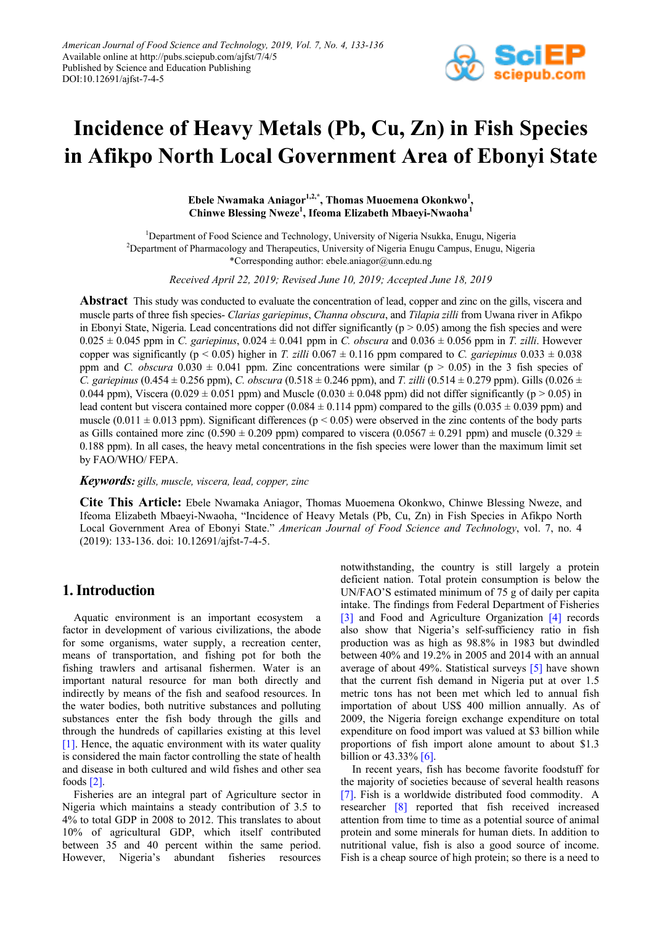

# **Incidence of Heavy Metals (Pb, Cu, Zn) in Fish Species in Afikpo North Local Government Area of Ebonyi State**

Ebele Nwamaka Aniagor<sup>1,2,\*</sup>, Thomas Muoemena Okonkwo<sup>1</sup>, **Chinwe Blessing Nweze1 , Ifeoma Elizabeth Mbaeyi-Nwaoha<sup>1</sup>**

<sup>1</sup>Department of Food Science and Technology, University of Nigeria Nsukka, Enugu, Nigeria <sup>2</sup>Department of Pharmacology and Therapeutics, University of Nigeria Enugu Campus, Enugu, Nigeria \*Corresponding author: ebele.aniagor@unn.edu.ng

*Received April 22, 2019; Revised June 10, 2019; Accepted June 18, 2019*

**Abstract** This study was conducted to evaluate the concentration of lead, copper and zinc on the gills, viscera and muscle parts of three fish species- *Clarias gariepinus*, *Channa obscura*, and *Tilapia zilli* from Uwana river in Afikpo in Ebonyi State, Nigeria. Lead concentrations did not differ significantly ( $p > 0.05$ ) among the fish species and were  $0.025 \pm 0.045$  ppm in *C. gariepinus*,  $0.024 \pm 0.041$  ppm in *C. obscura* and  $0.036 \pm 0.056$  ppm in *T. zilli*. However copper was significantly ( $p < 0.05$ ) higher in *T. zilli* 0.067  $\pm$  0.116 ppm compared to *C. gariepinus* 0.033  $\pm$  0.038 ppm and *C. obscura*  $0.030 \pm 0.041$  ppm. Zinc concentrations were similar (p  $> 0.05$ ) in the 3 fish species of *C. gariepinus* (0.454  $\pm$  0.256 ppm), *C. obscura* (0.518  $\pm$  0.246 ppm), and *T. zilli* (0.514  $\pm$  0.279 ppm). Gills (0.026  $\pm$ 0.044 ppm), Viscera (0.029  $\pm$  0.051 ppm) and Muscle (0.030  $\pm$  0.048 ppm) did not differ significantly (p > 0.05) in lead content but viscera contained more copper  $(0.084 \pm 0.114$  ppm) compared to the gills  $(0.035 \pm 0.039$  ppm) and muscle (0.011  $\pm$  0.013 ppm). Significant differences (p < 0.05) were observed in the zinc contents of the body parts as Gills contained more zinc (0.590  $\pm$  0.209 ppm) compared to viscera (0.0567  $\pm$  0.291 ppm) and muscle (0.329  $\pm$ 0.188 ppm). In all cases, the heavy metal concentrations in the fish species were lower than the maximum limit set by FAO/WHO/ FEPA.

*Keywords: gills, muscle, viscera, lead, copper, zinc*

**Cite This Article:** Ebele Nwamaka Aniagor, Thomas Muoemena Okonkwo, Chinwe Blessing Nweze, and Ifeoma Elizabeth Mbaeyi-Nwaoha, "Incidence of Heavy Metals (Pb, Cu, Zn) in Fish Species in Afikpo North Local Government Area of Ebonyi State." *American Journal of Food Science and Technology*, vol. 7, no. 4 (2019): 133-136. doi: 10.12691/ajfst-7-4-5.

# **1. Introduction**

Aquatic environment is an important ecosystem a factor in development of various civilizations, the abode for some organisms, water supply, a recreation center, means of transportation, and fishing pot for both the fishing trawlers and artisanal fishermen. Water is an important natural resource for man both directly and indirectly by means of the fish and seafood resources. In the water bodies, both nutritive substances and polluting substances enter the fish body through the gills and through the hundreds of capillaries existing at this level [\[1\].](#page-3-0) Hence, the aquatic environment with its water quality is considered the main factor controlling the state of health and disease in both cultured and wild fishes and other sea foods [\[2\].](#page-3-1)

Fisheries are an integral part of Agriculture sector in Nigeria which maintains a steady contribution of 3.5 to 4% to total GDP in 2008 to 2012. This translates to about 10% of agricultural GDP, which itself contributed between 35 and 40 percent within the same period. However, Nigeria's abundant fisheries resources notwithstanding, the country is still largely a protein deficient nation. Total protein consumption is below the UN/FAO'S estimated minimum of 75 g of daily per capita intake. The findings from Federal Department of Fisheries [\[3\]](#page-3-2) and Food and Agriculture Organization [\[4\]](#page-3-3) records also show that Nigeria's self-sufficiency ratio in fish production was as high as 98.8% in 1983 but dwindled between 40% and 19.2% in 2005 and 2014 with an annual average of about 49%. Statistical surveys [\[5\]](#page-3-4) have shown that the current fish demand in Nigeria put at over 1.5 metric tons has not been met which led to annual fish importation of about US\$ 400 million annually. As of 2009, the Nigeria foreign exchange expenditure on total expenditure on food import was valued at \$3 billion while proportions of fish import alone amount to about \$1.3 billion or 43.33% [\[6\].](#page-3-5)

In recent years, fish has become favorite foodstuff for the majority of societies because of several health reasons [\[7\].](#page-3-6) Fish is a worldwide distributed food commodity. A researcher [\[8\]](#page-3-7) reported that fish received increased attention from time to time as a potential source of animal protein and some minerals for human diets. In addition to nutritional value, fish is also a good source of income. Fish is a cheap source of high protein; so there is a need to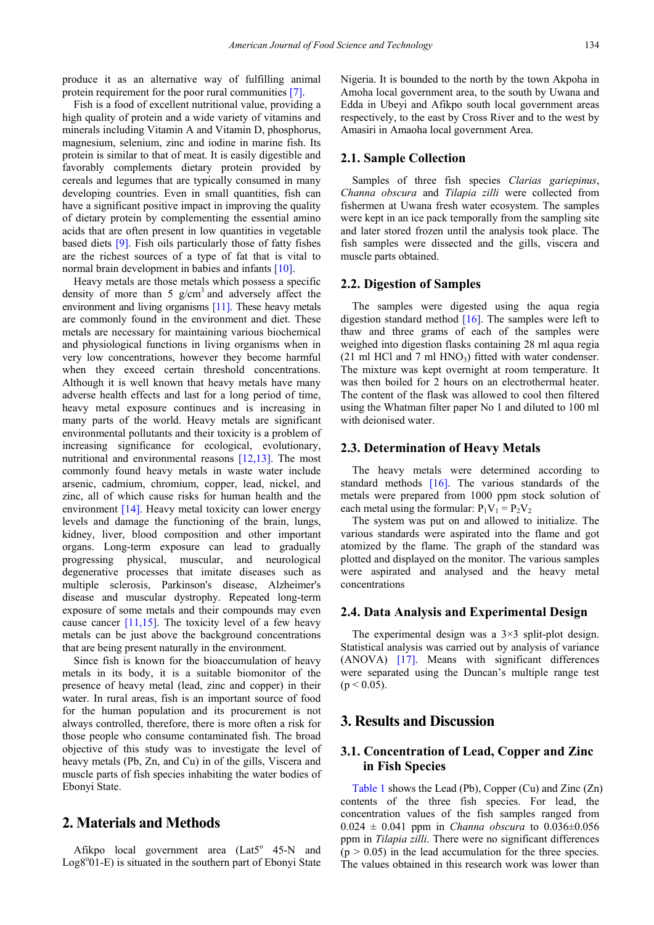produce it as an alternative way of fulfilling animal protein requirement for the poor rural communitie[s \[7\].](#page-3-6)

Fish is a food of excellent nutritional value, providing a high quality of protein and a wide variety of vitamins and minerals including Vitamin A and Vitamin D, phosphorus, magnesium, selenium, zinc and iodine in marine fish. Its protein is similar to that of meat. It is easily digestible and favorably complements dietary protein provided by cereals and legumes that are typically consumed in many developing countries. Even in small quantities, fish can have a significant positive impact in improving the quality of dietary protein by complementing the essential amino acids that are often present in low quantities in vegetable based diets [\[9\].](#page-3-8) Fish oils particularly those of fatty fishes are the richest sources of a type of fat that is vital to normal brain development in babies and infant[s \[10\].](#page-3-9)

Heavy metals are those metals which possess a specific density of more than 5  $g/cm<sup>3</sup>$  and adversely affect the environment and living organisms [\[11\].](#page-3-10) These heavy metals are commonly found in the environment and diet. These metals are necessary for maintaining various biochemical and physiological functions in living organisms when in very low concentrations, however they become harmful when they exceed certain threshold concentrations. Although it is well known that heavy metals have many adverse health effects and last for a long period of time, heavy metal exposure continues and is increasing in many parts of the world. Heavy metals are significant environmental pollutants and their toxicity is a problem of increasing significance for ecological, evolutionary, nutritional and environmental reasons [\[12,13\].](#page-3-11) The most commonly found heavy metals in waste water include arsenic, cadmium, chromium, copper, lead, nickel, and zinc, all of which cause risks for human health and the environment  $[14]$ . Heavy metal toxicity can lower energy levels and damage the functioning of the brain, lungs, kidney, liver, blood composition and other important organs. Long-term exposure can lead to gradually progressing physical, muscular, and neurological degenerative processes that imitate diseases such as multiple sclerosis, Parkinson's disease, Alzheimer's disease and muscular dystrophy. Repeated long-term exposure of some metals and their compounds may even cause cancer  $[11,15]$ . The toxicity level of a few heavy metals can be just above the background concentrations that are being present naturally in the environment.

Since fish is known for the bioaccumulation of heavy metals in its body, it is a suitable biomonitor of the presence of heavy metal (lead, zinc and copper) in their water. In rural areas, fish is an important source of food for the human population and its procurement is not always controlled, therefore, there is more often a risk for those people who consume contaminated fish. The broad objective of this study was to investigate the level of heavy metals (Pb, Zn, and Cu) in of the gills, Viscera and muscle parts of fish species inhabiting the water bodies of Ebonyi State.

# **2. Materials and Methods**

Afikpo local government area  $(Lat5^{\circ} 45-N$  and Log8°01-E) is situated in the southern part of Ebonyi State Nigeria. It is bounded to the north by the town Akpoha in Amoha local government area, to the south by Uwana and Edda in Ubeyi and Afikpo south local government areas respectively, to the east by Cross River and to the west by Amasiri in Amaoha local government Area.

#### **2.1. Sample Collection**

Samples of three fish species *Clarias gariepinus*, *Channa obscura* and *Tilapia zilli* were collected from fishermen at Uwana fresh water ecosystem. The samples were kept in an ice pack temporally from the sampling site and later stored frozen until the analysis took place. The fish samples were dissected and the gills, viscera and muscle parts obtained.

#### **2.2. Digestion of Samples**

The samples were digested using the aqua regia digestion standard method  $[16]$ . The samples were left to thaw and three grams of each of the samples were weighed into digestion flasks containing 28 ml aqua regia (21 ml HCl and 7 ml  $HNO<sub>3</sub>$ ) fitted with water condenser. The mixture was kept overnight at room temperature. It was then boiled for 2 hours on an electrothermal heater. The content of the flask was allowed to cool then filtered using the Whatman filter paper No 1 and diluted to 100 ml with deionised water.

#### **2.3. Determination of Heavy Metals**

The heavy metals were determined according to standard methods  $[16]$ . The various standards of the metals were prepared from 1000 ppm stock solution of each metal using the formular:  $P_1V_1 = P_2V_2$ 

The system was put on and allowed to initialize. The various standards were aspirated into the flame and got atomized by the flame. The graph of the standard was plotted and displayed on the monitor. The various samples were aspirated and analysed and the heavy metal concentrations

#### **2.4. Data Analysis and Experimental Design**

The experimental design was a  $3\times3$  split-plot design. Statistical analysis was carried out by analysis of variance (ANOVA) [\[17\].](#page-3-14) Means with significant differences were separated using the Duncan's multiple range test  $(p < 0.05)$ .

## **3. Results and Discussion**

#### **3.1. Concentration of Lead, Copper and Zinc in Fish Species**

[Table 1](#page-2-0) shows the Lead (Pb), Copper (Cu) and Zinc (Zn) contents of the three fish species. For lead, the concentration values of the fish samples ranged from  $0.024 \pm 0.041$  ppm in *Channa obscura* to  $0.036 \pm 0.056$ ppm in *Tilapia zilli*. There were no significant differences  $(p > 0.05)$  in the lead accumulation for the three species. The values obtained in this research work was lower than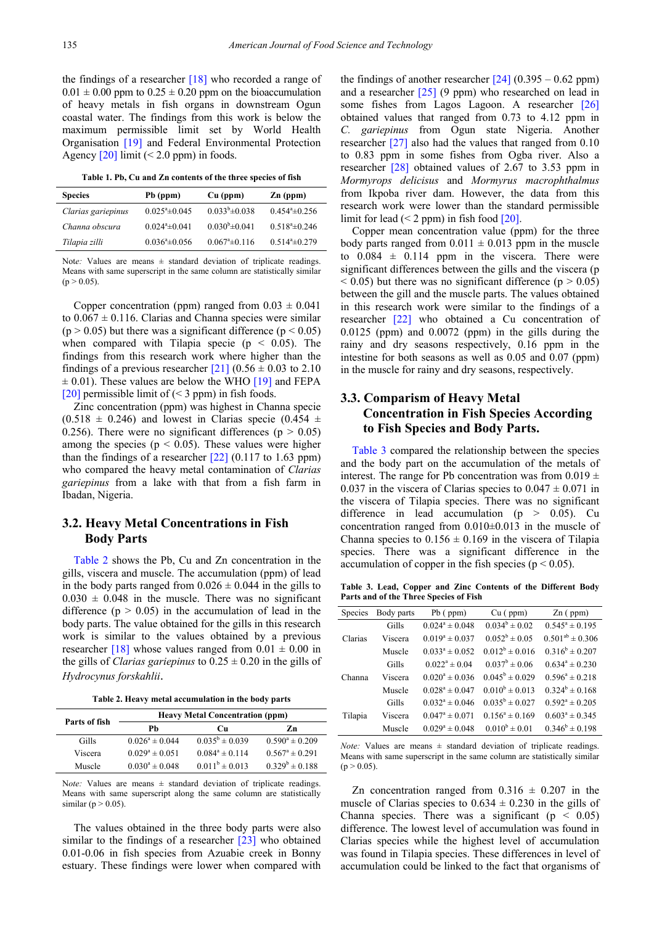the findings of a researcher [\[18\]](#page-3-15) who recorded a range of  $0.01 \pm 0.00$  ppm to  $0.25 \pm 0.20$  ppm on the bioaccumulation of heavy metals in fish organs in downstream Ogun coastal water. The findings from this work is below the maximum permissible limit set by World Health Organisation [\[19\]](#page-3-16) and Federal Environmental Protection Agency  $[20]$  limit (< 2.0 ppm) in foods.

**Table 1. Pb, Cu and Zn contents of the three species of fish**

<span id="page-2-0"></span>

| <b>Species</b>     | Pb (ppm)                      | $Cu$ (ppm)                | $Zn$ (ppm)              |
|--------------------|-------------------------------|---------------------------|-------------------------|
| Clarias gariepinus | $0.025^{\mathrm{a}}\pm 0.045$ | $0.033^{b} \pm 0.038$     | $0.454^{\circ}$ ± 0.256 |
| Channa obscura     | $0.024^a \pm 0.041$           | $0.030^{\rm b} \pm 0.041$ | $0.518^a \pm 0.246$     |
| Tilapia zilli      | $0.036^{\circ}$ ± 0.056       | $0.067^{\circ}$ ± 0.116   | $0.514^a \pm 0.279$     |

Note: Values are means  $\pm$  standard deviation of triplicate readings. Means with same superscript in the same column are statistically similar  $(p > 0.05)$ .

Copper concentration (ppm) ranged from  $0.03 \pm 0.041$ to  $0.067 \pm 0.116$ . Clarias and Channa species were similar  $(p > 0.05)$  but there was a significant difference  $(p < 0.05)$ when compared with Tilapia specie ( $p \le 0.05$ ). The findings from this research work where higher than the findings of a previous researcher  $[21]$  (0.56  $\pm$  0.03 to 2.10  $\pm$  0.01). These values are below the WHO [\[19\]](#page-3-16) and FEPA [\[20\]](#page-3-17) permissible limit of  $(< 3$  ppm) in fish foods.

Zinc concentration (ppm) was highest in Channa specie  $(0.518 \pm 0.246)$  and lowest in Clarias specie  $(0.454 \pm 0.246)$ 0.256). There were no significant differences ( $p > 0.05$ ) among the species ( $p < 0.05$ ). These values were higher than the findings of a researcher  $[22]$  (0.117 to 1.63 ppm) who compared the heavy metal contamination of *Clarias gariepinus* from a lake with that from a fish farm in Ibadan, Nigeria.

#### **3.2. Heavy Metal Concentrations in Fish Body Parts**

[Table 2](#page-2-1) shows the Pb, Cu and Zn concentration in the gills, viscera and muscle. The accumulation (ppm) of lead in the body parts ranged from  $0.026 \pm 0.044$  in the gills to  $0.030 \pm 0.048$  in the muscle. There was no significant difference  $(p > 0.05)$  in the accumulation of lead in the body parts. The value obtained for the gills in this research work is similar to the values obtained by a previous researcher [\[18\]](#page-3-15) whose values ranged from  $0.01 \pm 0.00$  in the gills of *Clarias gariepinus* to  $0.25 \pm 0.20$  in the gills of *Hydrocynus forskahlii*.

**Table 2. Heavy metal accumulation in the body parts**

<span id="page-2-1"></span>

| Parts of fish | <b>Heavy Metal Concentration (ppm)</b> |                     |                     |  |
|---------------|----------------------------------------|---------------------|---------------------|--|
|               | Ph                                     | Cп                  | Zn                  |  |
| Gills         | $0.026^a \pm 0.044$                    | $0.035^b \pm 0.039$ | $0.590^a \pm 0.209$ |  |
| Viscera       | $0.029^a \pm 0.051$                    | $0.084^a \pm 0.114$ | $0.567^a \pm 0.291$ |  |
| Muscle        | $0.030^a \pm 0.048$                    | $0.011^b \pm 0.013$ | $0.329^b \pm 0.188$ |  |

Note: Values are means  $\pm$  standard deviation of triplicate readings. Means with same superscript along the same column are statistically similar ( $p > 0.05$ ).

The values obtained in the three body parts were also similar to the findings of a researcher [\[23\]](#page-3-20) who obtained 0.01-0.06 in fish species from Azuabie creek in Bonny estuary. These findings were lower when compared with the findings of another researcher  $[24]$  (0.395 – 0.62 ppm) and a researcher [\[25\]](#page-3-22) (9 ppm) who researched on lead in some fishes from Lagos Lagoon. A researcher [\[26\]](#page-3-23) obtained values that ranged from 0.73 to 4.12 ppm in *C. gariepinus* from Ogun state Nigeria. Another researcher [\[27\]](#page-3-24) also had the values that ranged from 0.10 to 0.83 ppm in some fishes from Ogba river. Also a researcher [\[28\]](#page-3-25) obtained values of 2.67 to 3.53 ppm in *Mormyrops delicisus* and *Mormyrus macrophthalmus*  from Ikpoba river dam. However, the data from this research work were lower than the standard permissible limit for lead  $(< 2$  ppm) in fish food [\[20\].](#page-3-17)

Copper mean concentration value (ppm) for the three body parts ranged from  $0.011 \pm 0.013$  ppm in the muscle to  $0.084 \pm 0.114$  ppm in the viscera. There were significant differences between the gills and the viscera (p  $(0.05)$  but there was no significant difference ( $p > 0.05$ ) between the gill and the muscle parts. The values obtained in this research work were similar to the findings of a researcher [\[22\]](#page-3-19) who obtained a Cu concentration of 0.0125 (ppm) and 0.0072 (ppm) in the gills during the rainy and dry seasons respectively, 0.16 ppm in the intestine for both seasons as well as 0.05 and 0.07 (ppm) in the muscle for rainy and dry seasons, respectively.

### **3.3. Comparism of Heavy Metal Concentration in Fish Species According to Fish Species and Body Parts.**

[Table 3](#page-2-2) compared the relationship between the species and the body part on the accumulation of the metals of interest. The range for Pb concentration was from  $0.019 \pm$ 0.037 in the viscera of Clarias species to  $0.047 \pm 0.071$  in the viscera of Tilapia species. There was no significant difference in lead accumulation  $(p > 0.05)$ . Cu concentration ranged from 0.010±0.013 in the muscle of Channa species to  $0.156 \pm 0.169$  in the viscera of Tilapia species. There was a significant difference in the accumulation of copper in the fish species ( $p < 0.05$ ).

**Table 3. Lead, Copper and Zinc Contents of the Different Body Parts and of the Three Species of Fish**

<span id="page-2-2"></span>

| <b>Species</b> | Body parts | $Pb$ ( $ppm$ )      | $Cu$ (ppm)           | $Zn$ (ppm)             |
|----------------|------------|---------------------|----------------------|------------------------|
| Clarias        | Gills      | $0.024^a \pm 0.048$ | $0.034^b \pm 0.02$   | $0.545^a \pm 0.195$    |
|                | Viscera    | $0.019^a \pm 0.037$ | $0.052^b \pm 0.05$   | $0.501^{ab} \pm 0.306$ |
|                | Muscle     | $0.033^a \pm 0.052$ | $0.012^b \pm 0.016$  | $0.316^b \pm 0.207$    |
| Channa         | Gills      | $0.022^a \pm 0.04$  | $0.037^b \pm 0.06$   | $0.634^a \pm 0.230$    |
|                | Viscera    | $0.020^a \pm 0.036$ | $0.045^b \pm 0.029$  | $0.596^a \pm 0.218$    |
|                | Muscle     | $0.028^a \pm 0.047$ | $0.010^b \pm 0.013$  | $0.324^b \pm 0.168$    |
| Tilapia        | Gills      | $0.032^a \pm 0.046$ | $0.035^b \pm 0.027$  | $0.592^a \pm 0.205$    |
|                | Viscera    | $0.047^a \pm 0.071$ | $0.156^a \pm 0.169$  | $0.603^a \pm 0.345$    |
|                | Muscle     | $0.029^a \pm 0.048$ | $0.010^{b} \pm 0.01$ | $0.346^b \pm 0.198$    |

*Note:* Values are means  $\pm$  standard deviation of triplicate readings. Means with same superscript in the same column are statistically similar  $(p > 0.05)$ .

Zn concentration ranged from  $0.316 \pm 0.207$  in the muscle of Clarias species to  $0.634 \pm 0.230$  in the gills of Channa species. There was a significant ( $p < 0.05$ ) difference. The lowest level of accumulation was found in Clarias species while the highest level of accumulation was found in Tilapia species. These differences in level of accumulation could be linked to the fact that organisms of